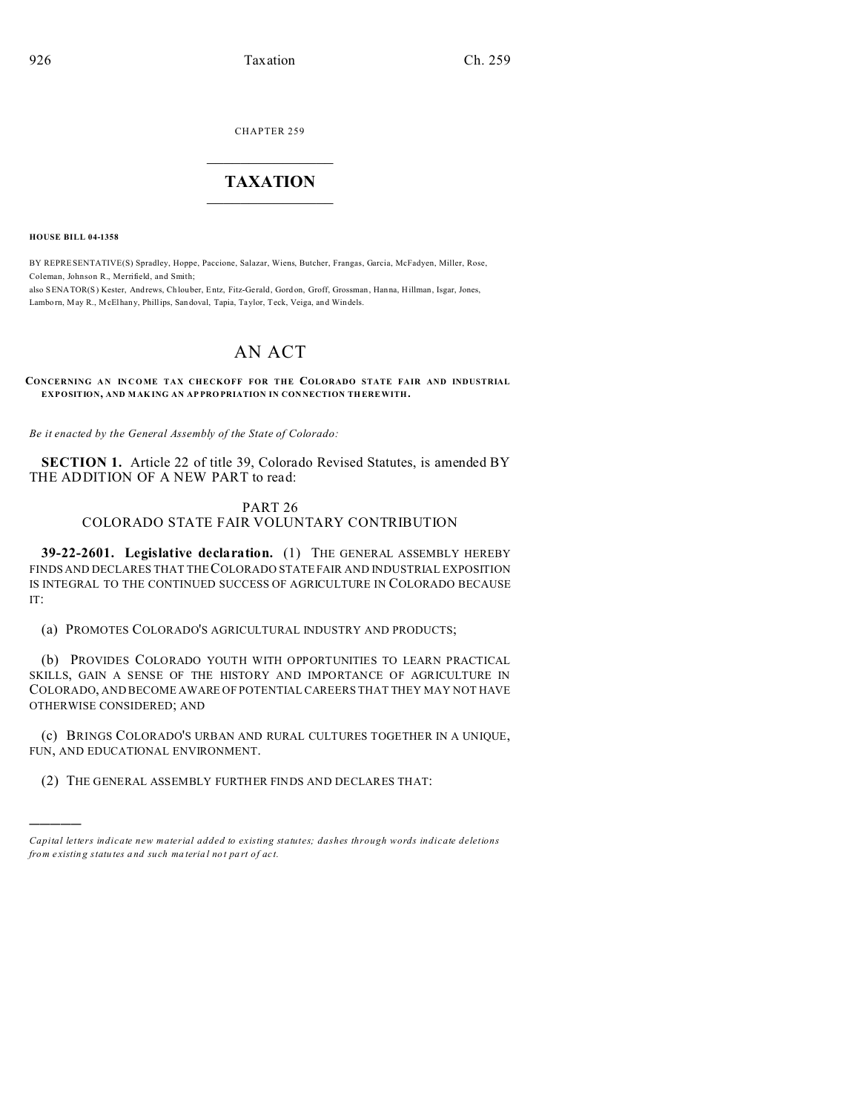CHAPTER 259  $\overline{\phantom{a}}$  , where  $\overline{\phantom{a}}$ 

## **TAXATION**  $\_$

**HOUSE BILL 04-1358**

)))))

BY REPRESENTATIVE(S) Spradley, Hoppe, Paccione, Salazar, Wiens, Butcher, Frangas, Garcia, McFadyen, Miller, Rose, Coleman, Johnson R., Merrifield, and Smith; also SENATOR(S) Kester, Andrews, Ch louber, Entz, Fitz-Gerald, Gord on, Groff, Grossman , Hanna, Hillman, Isgar, Jones,

Lambo rn, May R., McElhany, Phillips, Sandoval, Tapia, Taylor, Teck, Veiga, and Windels.

## AN ACT

**CONCERNING AN INCOME TAX CHECKOFF FOR THE COLORADO STATE FAIR AND INDUSTRIAL EXPOSITION, AND MAK ING AN AP PRO PRIATION IN CON NECTION TH EREWITH.**

*Be it enacted by the General Assembly of the State of Colorado:*

**SECTION 1.** Article 22 of title 39, Colorado Revised Statutes, is amended BY THE ADDITION OF A NEW PART to read:

## PART 26 COLORADO STATE FAIR VOLUNTARY CONTRIBUTION

**39-22-2601. Legislative declaration.** (1) THE GENERAL ASSEMBLY HEREBY FINDS AND DECLARES THAT THE COLORADO STATE FAIR AND INDUSTRIAL EXPOSITION IS INTEGRAL TO THE CONTINUED SUCCESS OF AGRICULTURE IN COLORADO BECAUSE IT:

(a) PROMOTES COLORADO'S AGRICULTURAL INDUSTRY AND PRODUCTS;

(b) PROVIDES COLORADO YOUTH WITH OPPORTUNITIES TO LEARN PRACTICAL SKILLS, GAIN A SENSE OF THE HISTORY AND IMPORTANCE OF AGRICULTURE IN COLORADO, AND BECOME AWARE OF POTENTIAL CAREERS THAT THEY MAY NOT HAVE OTHERWISE CONSIDERED; AND

(c) BRINGS COLORADO'S URBAN AND RURAL CULTURES TOGETHER IN A UNIQUE, FUN, AND EDUCATIONAL ENVIRONMENT.

(2) THE GENERAL ASSEMBLY FURTHER FINDS AND DECLARES THAT:

*Capital letters indicate new material added to existing statutes; dashes through words indicate deletions from e xistin g statu tes a nd such ma teria l no t pa rt of ac t.*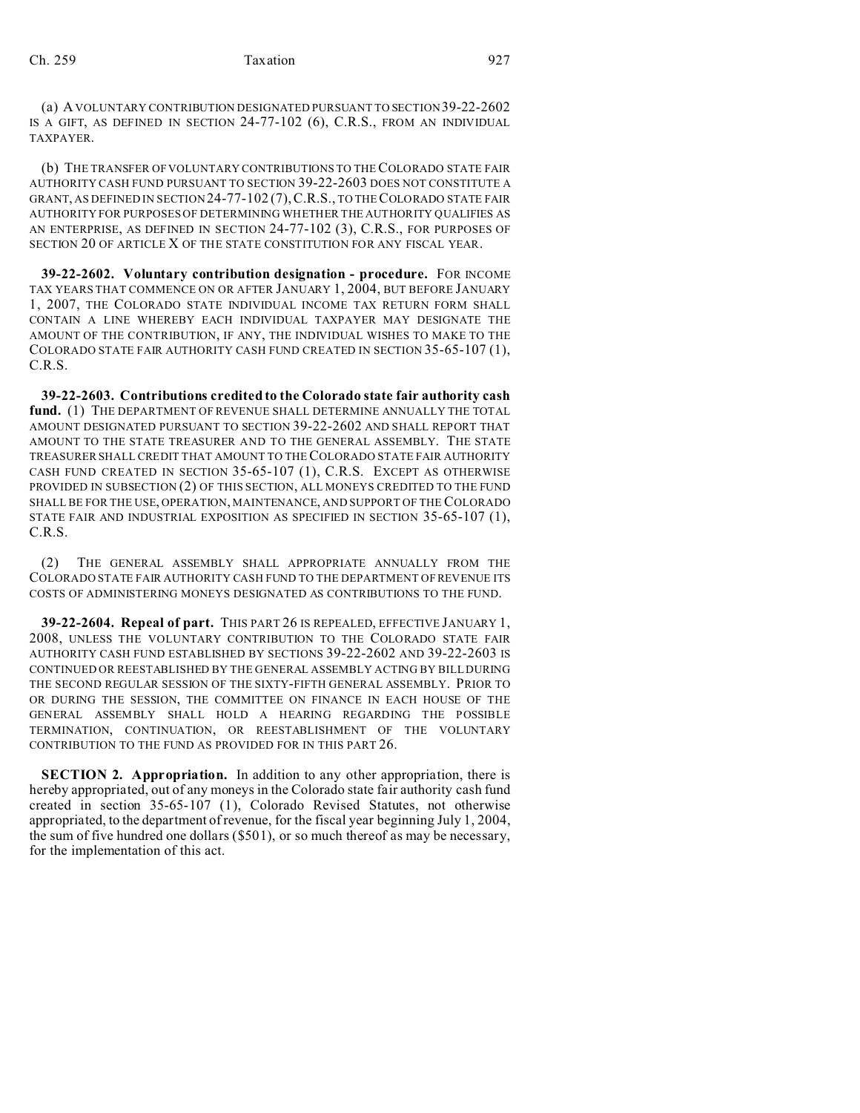(a) A VOLUNTARY CONTRIBUTION DESIGNATED PURSUANT TO SECTION 39-22-2602 IS A GIFT, AS DEFINED IN SECTION 24-77-102 (6), C.R.S., FROM AN INDIVIDUAL TAXPAYER.

(b) THE TRANSFER OF VOLUNTARY CONTRIBUTIONS TO THE COLORADO STATE FAIR AUTHORITY CASH FUND PURSUANT TO SECTION 39-22-2603 DOES NOT CONSTITUTE A GRANT, AS DEFINED IN SECTION24-77-102 (7),C.R.S., TO THE COLORADO STATE FAIR AUTHORITY FOR PURPOSES OF DETERMINING WHETHER THE AUTHORITY QUALIFIES AS AN ENTERPRISE, AS DEFINED IN SECTION 24-77-102 (3), C.R.S., FOR PURPOSES OF SECTION 20 OF ARTICLE X OF THE STATE CONSTITUTION FOR ANY FISCAL YEAR.

**39-22-2602. Voluntary contribution designation - procedure.** FOR INCOME TAX YEARS THAT COMMENCE ON OR AFTER JANUARY 1, 2004, BUT BEFORE JANUARY 1, 2007, THE COLORADO STATE INDIVIDUAL INCOME TAX RETURN FORM SHALL CONTAIN A LINE WHEREBY EACH INDIVIDUAL TAXPAYER MAY DESIGNATE THE AMOUNT OF THE CONTRIBUTION, IF ANY, THE INDIVIDUAL WISHES TO MAKE TO THE COLORADO STATE FAIR AUTHORITY CASH FUND CREATED IN SECTION 35-65-107 (1), C.R.S.

**39-22-2603. Contributions credited to the Colorado state fair authority cash fund.** (1) THE DEPARTMENT OF REVENUE SHALL DETERMINE ANNUALLY THE TOTAL AMOUNT DESIGNATED PURSUANT TO SECTION 39-22-2602 AND SHALL REPORT THAT AMOUNT TO THE STATE TREASURER AND TO THE GENERAL ASSEMBLY. THE STATE TREASURER SHALL CREDIT THAT AMOUNT TO THE COLORADO STATE FAIR AUTHORITY CASH FUND CREATED IN SECTION 35-65-107 (1), C.R.S. EXCEPT AS OTHERWISE PROVIDED IN SUBSECTION (2) OF THIS SECTION, ALL MONEYS CREDITED TO THE FUND SHALL BE FOR THE USE, OPERATION, MAINTENANCE, AND SUPPORT OF THE COLORADO STATE FAIR AND INDUSTRIAL EXPOSITION AS SPECIFIED IN SECTION 35-65-107 (1), C.R.S.

(2) THE GENERAL ASSEMBLY SHALL APPROPRIATE ANNUALLY FROM THE COLORADO STATE FAIR AUTHORITY CASH FUND TO THE DEPARTMENT OF REVENUE ITS COSTS OF ADMINISTERING MONEYS DESIGNATED AS CONTRIBUTIONS TO THE FUND.

**39-22-2604. Repeal of part.** THIS PART 26 IS REPEALED, EFFECTIVE JANUARY 1, 2008, UNLESS THE VOLUNTARY CONTRIBUTION TO THE COLORADO STATE FAIR AUTHORITY CASH FUND ESTABLISHED BY SECTIONS 39-22-2602 AND 39-22-2603 IS CONTINUED OR REESTABLISHED BY THE GENERAL ASSEMBLY ACTING BY BILL DURING THE SECOND REGULAR SESSION OF THE SIXTY-FIFTH GENERAL ASSEMBLY. PRIOR TO OR DURING THE SESSION, THE COMMITTEE ON FINANCE IN EACH HOUSE OF THE GENERAL ASSEMBLY SHALL HOLD A HEARING REGARDING THE POSSIBLE TERMINATION, CONTINUATION, OR REESTABLISHMENT OF THE VOLUNTARY CONTRIBUTION TO THE FUND AS PROVIDED FOR IN THIS PART 26.

**SECTION 2. Appropriation.** In addition to any other appropriation, there is hereby appropriated, out of any moneys in the Colorado state fair authority cash fund created in section 35-65-107 (1), Colorado Revised Statutes, not otherwise appropriated, to the department of revenue, for the fiscal year beginning July 1, 2004, the sum of five hundred one dollars (\$501), or so much thereof as may be necessary, for the implementation of this act.